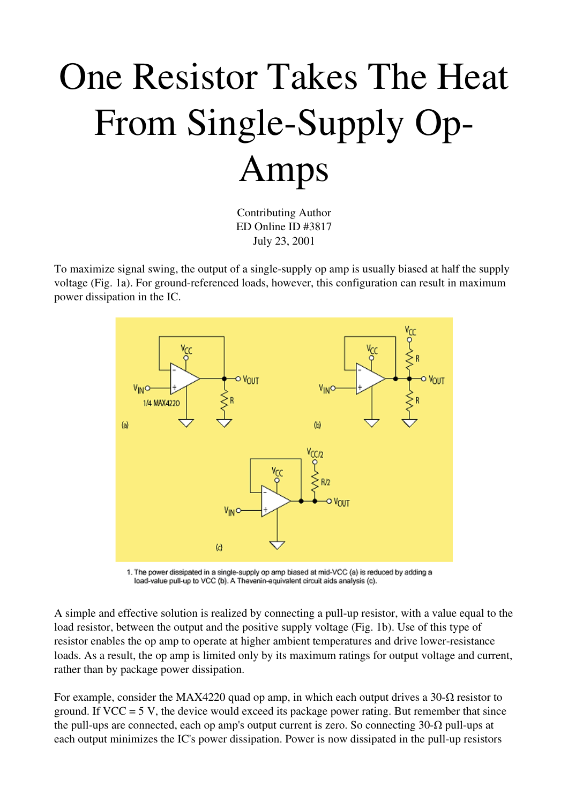## One Resistor Takes The Heat From Single-Supply Op-Amps

Contributing Author ED Online ID #3817 July 23, 2001

To maximize signal swing, the output of a single-supply op amp is usually biased at half the supply voltage (Fig. 1a). For ground-referenced loads, however, this configuration can result in maximum power dissipation in the IC.



1. The power dissipated in a single-supply op amp biased at mid-VCC (a) is reduced by adding a load-value pull-up to VCC (b). A Thevenin-equivalent circuit aids analysis (c).

A simple and effective solution is realized by connecting a pull-up resistor, with a value equal to the load resistor, between the output and the positive supply voltage (Fig. 1b). Use of this type of resistor enables the op amp to operate at higher ambient temperatures and drive lower-resistance loads. As a result, the op amp is limited only by its maximum ratings for output voltage and current, rather than by package power dissipation.

For example, consider the MAX4220 quad op amp, in which each output drives a 30- $\Omega$  resistor to ground. If  $VCC = 5$  V, the device would exceed its package power rating. But remember that since the pull-ups are connected, each op amp's output current is zero. So connecting  $30$ - $\Omega$  pull-ups at each output minimizes the IC's power dissipation. Power is now dissipated in the pull-up resistors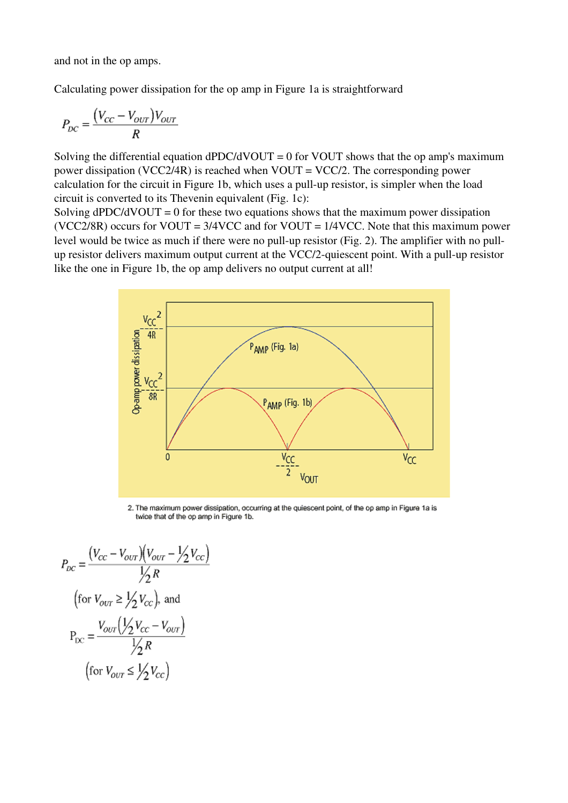and not in the op amps.

Calculating power dissipation for the op amp in Figure 1a is straightforward

$$
P_{DC} = \frac{(V_{CC} - V_{OUT})V_{OUT}}{R}
$$

Solving the differential equation dPDC/dVOUT = 0 for VOUT shows that the op amp's maximum power dissipation (VCC2/4R) is reached when VOUT = VCC/2. The corresponding power calculation for the circuit in Figure 1b, which uses a pull-up resistor, is simpler when the load circuit is converted to its Thevenin equivalent (Fig. 1c):

Solving  $dPDC/dVOUT = 0$  for these two equations shows that the maximum power dissipation (VCC2/8R) occurs for VOUT =  $3/4$ VCC and for VOUT =  $1/4$ VCC. Note that this maximum power level would be twice as much if there were no pull-up resistor (Fig. 2). The amplifier with no pullup resistor delivers maximum output current at the VCC/2-quiescent point. With a pull-up resistor like the one in Figure 1b, the op amp delivers no output current at all!



2. The maximum power dissipation, occurring at the quiescent point, of the op amp in Figure 1a is twice that of the op amp in Figure 1b.

$$
P_{DC} = \frac{(V_{CC} - V_{OUT})(V_{OUT} - \frac{1}{2}V_{CC})}{\frac{1}{2}R}
$$
  
(for  $V_{OUT} \ge \frac{1}{2}V_{CC}$ ), and  

$$
P_{DC} = \frac{V_{OUT}(\frac{1}{2}V_{CC} - V_{OUT})}{\frac{1}{2}R}
$$
  
(for  $V_{OUT} \le \frac{1}{2}V_{CC}$ )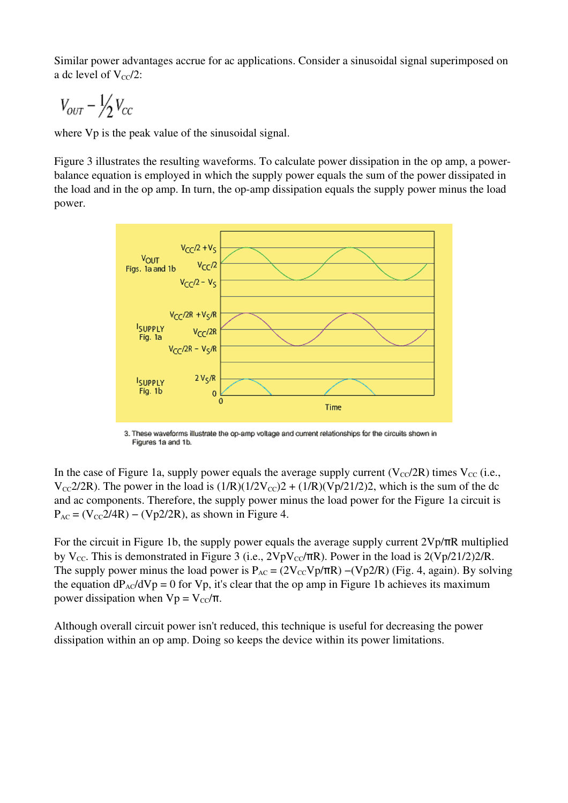Similar power advantages accrue for ac applications. Consider a sinusoidal signal superimposed on a dc level of  $V_{\text{cc}}/2$ :

$$
V_{OUT} - \frac{1}{2}V_{CC}
$$

where Vp is the peak value of the sinusoidal signal.

Figure 3 illustrates the resulting waveforms. To calculate power dissipation in the op amp, a powerbalance equation is employed in which the supply power equals the sum of the power dissipated in the load and in the op amp. In turn, the op-amp dissipation equals the supply power minus the load power.



3. These waveforms illustrate the op-amp voltage and current relationships for the circuits shown in Figures 1a and 1b.

In the case of Figure 1a, supply power equals the average supply current ( $V_{\text{CC}}/2R$ ) times  $V_{\text{CC}}$  (i.e.,  $V_{\text{CC}}2/2R$ ). The power in the load is  $(1/R)(1/2V_{\text{CC}})2 + (1/R)(Vp/21/2)2$ , which is the sum of the dc and ac components. Therefore, the supply power minus the load power for the Figure 1a circuit is  $P_{AC} = (V_{CC}2/4R) - (Vp2/2R)$ , as shown in Figure 4.

For the circuit in Figure 1b, the supply power equals the average supply current 2Vp/πR multiplied by V<sub>CC</sub>. This is demonstrated in Figure 3 (i.e.,  $2VpV_{\text{CC}}/TR$ ). Power in the load is  $2(Vp/21/2)2/R$ . The supply power minus the load power is  $P_{AC} = (2V_{CC}Vp/\pi R) - (Vp2/R)$  (Fig. 4, again). By solving the equation  $dP_{AC}/dVp = 0$  for Vp, it's clear that the op amp in Figure 1b achieves its maximum power dissipation when  $Vp = V_{cc}/\pi$ .

Although overall circuit power isn't reduced, this technique is useful for decreasing the power dissipation within an op amp. Doing so keeps the device within its power limitations.